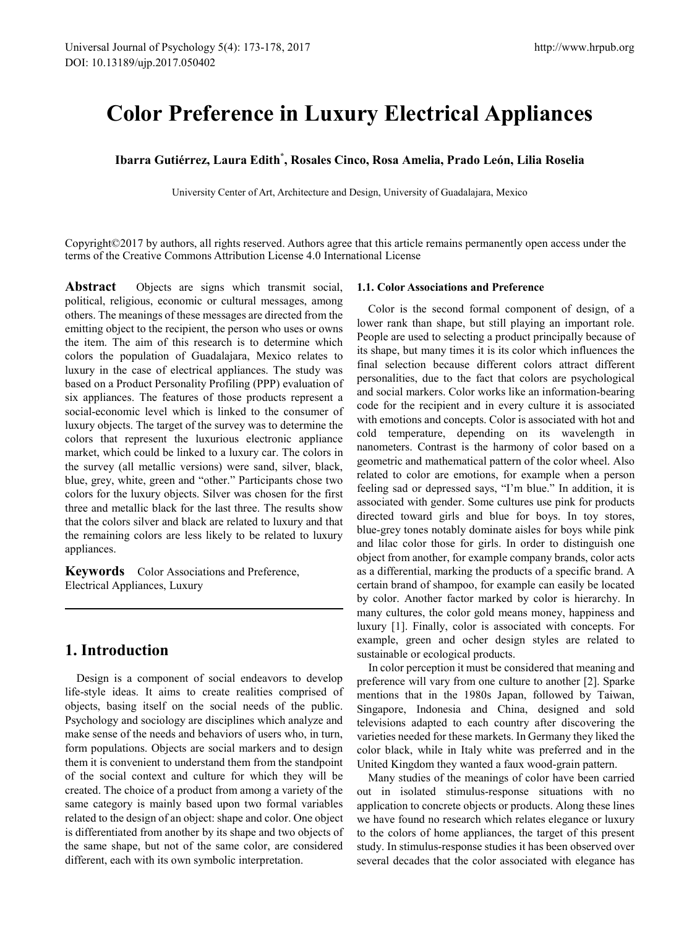# **Color Preference in Luxury Electrical Appliances**

## **Ibarra Gutiérrez, Laura Edith\* , Rosales Cinco, Rosa Amelia, Prado León, Lilia Roselia**

University Center of Art, Architecture and Design, University of Guadalajara, Mexico

Copyright©2017 by authors, all rights reserved. Authors agree that this article remains permanently open access under the terms of the Creative Commons Attribution License 4.0 International License

**Abstract** Objects are signs which transmit social, political, religious, economic or cultural messages, among others. The meanings of these messages are directed from the emitting object to the recipient, the person who uses or owns the item. The aim of this research is to determine which colors the population of Guadalajara, Mexico relates to luxury in the case of electrical appliances. The study was based on a Product Personality Profiling (PPP) evaluation of six appliances. The features of those products represent a social-economic level which is linked to the consumer of luxury objects. The target of the survey was to determine the colors that represent the luxurious electronic appliance market, which could be linked to a luxury car. The colors in the survey (all metallic versions) were sand, silver, black, blue, grey, white, green and "other." Participants chose two colors for the luxury objects. Silver was chosen for the first three and metallic black for the last three. The results show that the colors silver and black are related to luxury and that the remaining colors are less likely to be related to luxury appliances.

**Keywords** Color Associations and Preference, Electrical Appliances, Luxury

## **1. Introduction**

Design is a component of social endeavors to develop life-style ideas. It aims to create realities comprised of objects, basing itself on the social needs of the public. Psychology and sociology are disciplines which analyze and make sense of the needs and behaviors of users who, in turn, form populations. Objects are social markers and to design them it is convenient to understand them from the standpoint of the social context and culture for which they will be created. The choice of a product from among a variety of the same category is mainly based upon two formal variables related to the design of an object: shape and color. One object is differentiated from another by its shape and two objects of the same shape, but not of the same color, are considered different, each with its own symbolic interpretation.

#### **1.1. Color Associations and Preference**

Color is the second formal component of design, of a lower rank than shape, but still playing an important role. People are used to selecting a product principally because of its shape, but many times it is its color which influences the final selection because different colors attract different personalities, due to the fact that colors are psychological and social markers. Color works like an information-bearing code for the recipient and in every culture it is associated with emotions and concepts. Color is associated with hot and cold temperature, depending on its wavelength in nanometers. Contrast is the harmony of color based on a geometric and mathematical pattern of the color wheel. Also related to color are emotions, for example when a person feeling sad or depressed says, "I'm blue." In addition, it is associated with gender. Some cultures use pink for products directed toward girls and blue for boys. In toy stores, blue-grey tones notably dominate aisles for boys while pink and lilac color those for girls. In order to distinguish one object from another, for example company brands, color acts as a differential, marking the products of a specific brand. A certain brand of shampoo, for example can easily be located by color. Another factor marked by color is hierarchy. In many cultures, the color gold means money, happiness and luxury [1]. Finally, color is associated with concepts. For example, green and ocher design styles are related to sustainable or ecological products.

In color perception it must be considered that meaning and preference will vary from one culture to another [2]. Sparke mentions that in the 1980s Japan, followed by Taiwan, Singapore, Indonesia and China, designed and sold televisions adapted to each country after discovering the varieties needed for these markets. In Germany they liked the color black, while in Italy white was preferred and in the United Kingdom they wanted a faux wood-grain pattern.

Many studies of the meanings of color have been carried out in isolated stimulus-response situations with no application to concrete objects or products. Along these lines we have found no research which relates elegance or luxury to the colors of home appliances, the target of this present study. In stimulus-response studies it has been observed over several decades that the color associated with elegance has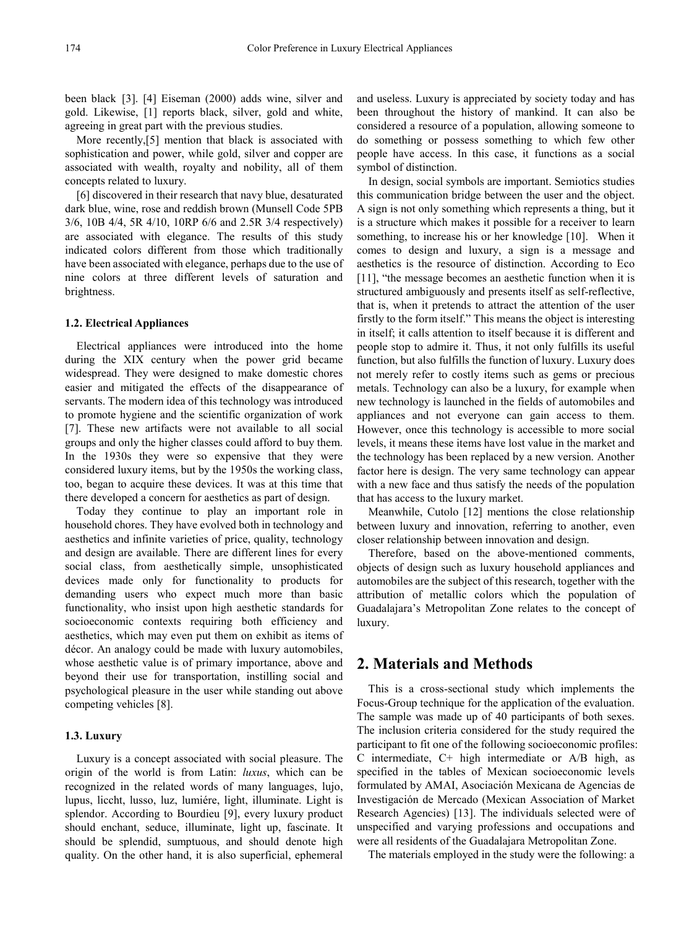been black [3]. [4] Eiseman (2000) adds wine, silver and gold. Likewise, [1] reports black, silver, gold and white, agreeing in great part with the previous studies.

More recently,[5] mention that black is associated with sophistication and power, while gold, silver and copper are associated with wealth, royalty and nobility, all of them concepts related to luxury.

[6] discovered in their research that navy blue, desaturated dark blue, wine, rose and reddish brown (Munsell Code 5PB 3/6, 10B 4/4, 5R 4/10, 10RP 6/6 and 2.5R 3/4 respectively) are associated with elegance. The results of this study indicated colors different from those which traditionally have been associated with elegance, perhaps due to the use of nine colors at three different levels of saturation and brightness.

#### **1.2. Electrical Appliances**

Electrical appliances were introduced into the home during the XIX century when the power grid became widespread. They were designed to make domestic chores easier and mitigated the effects of the disappearance of servants. The modern idea of this technology was introduced to promote hygiene and the scientific organization of work [7]. These new artifacts were not available to all social groups and only the higher classes could afford to buy them. In the 1930s they were so expensive that they were considered luxury items, but by the 1950s the working class, too, began to acquire these devices. It was at this time that there developed a concern for aesthetics as part of design.

Today they continue to play an important role in household chores. They have evolved both in technology and aesthetics and infinite varieties of price, quality, technology and design are available. There are different lines for every social class, from aesthetically simple, unsophisticated devices made only for functionality to products for demanding users who expect much more than basic functionality, who insist upon high aesthetic standards for socioeconomic contexts requiring both efficiency and aesthetics, which may even put them on exhibit as items of décor. An analogy could be made with luxury automobiles, whose aesthetic value is of primary importance, above and beyond their use for transportation, instilling social and psychological pleasure in the user while standing out above competing vehicles [8].

### **1.3. Luxury**

Luxury is a concept associated with social pleasure. The origin of the world is from Latin: *luxus*, which can be recognized in the related words of many languages, lujo, lupus, liccht, lusso, luz, lumiére, light, illuminate. Light is splendor. According to Bourdieu [9], every luxury product should enchant, seduce, illuminate, light up, fascinate. It should be splendid, sumptuous, and should denote high quality. On the other hand, it is also superficial, ephemeral

and useless. Luxury is appreciated by society today and has been throughout the history of mankind. It can also be considered a resource of a population, allowing someone to do something or possess something to which few other people have access. In this case, it functions as a social symbol of distinction.

In design, social symbols are important. Semiotics studies this communication bridge between the user and the object. A sign is not only something which represents a thing, but it is a structure which makes it possible for a receiver to learn something, to increase his or her knowledge [10]. When it comes to design and luxury, a sign is a message and aesthetics is the resource of distinction. According to Eco [11], "the message becomes an aesthetic function when it is structured ambiguously and presents itself as self-reflective, that is, when it pretends to attract the attention of the user firstly to the form itself." This means the object is interesting in itself; it calls attention to itself because it is different and people stop to admire it. Thus, it not only fulfills its useful function, but also fulfills the function of luxury. Luxury does not merely refer to costly items such as gems or precious metals. Technology can also be a luxury, for example when new technology is launched in the fields of automobiles and appliances and not everyone can gain access to them. However, once this technology is accessible to more social levels, it means these items have lost value in the market and the technology has been replaced by a new version. Another factor here is design. The very same technology can appear with a new face and thus satisfy the needs of the population that has access to the luxury market.

Meanwhile, Cutolo [12] mentions the close relationship between luxury and innovation, referring to another, even closer relationship between innovation and design.

Therefore, based on the above-mentioned comments, objects of design such as luxury household appliances and automobiles are the subject of this research, together with the attribution of metallic colors which the population of Guadalajara's Metropolitan Zone relates to the concept of luxury.

## **2. Materials and Methods**

This is a cross-sectional study which implements the Focus-Group technique for the application of the evaluation. The sample was made up of 40 participants of both sexes. The inclusion criteria considered for the study required the participant to fit one of the following socioeconomic profiles: C intermediate, C+ high intermediate or A/B high, as specified in the tables of Mexican socioeconomic levels formulated by AMAI, Asociación Mexicana de Agencias de Investigación de Mercado (Mexican Association of Market Research Agencies) [13]. The individuals selected were of unspecified and varying professions and occupations and were all residents of the Guadalajara Metropolitan Zone.

The materials employed in the study were the following: a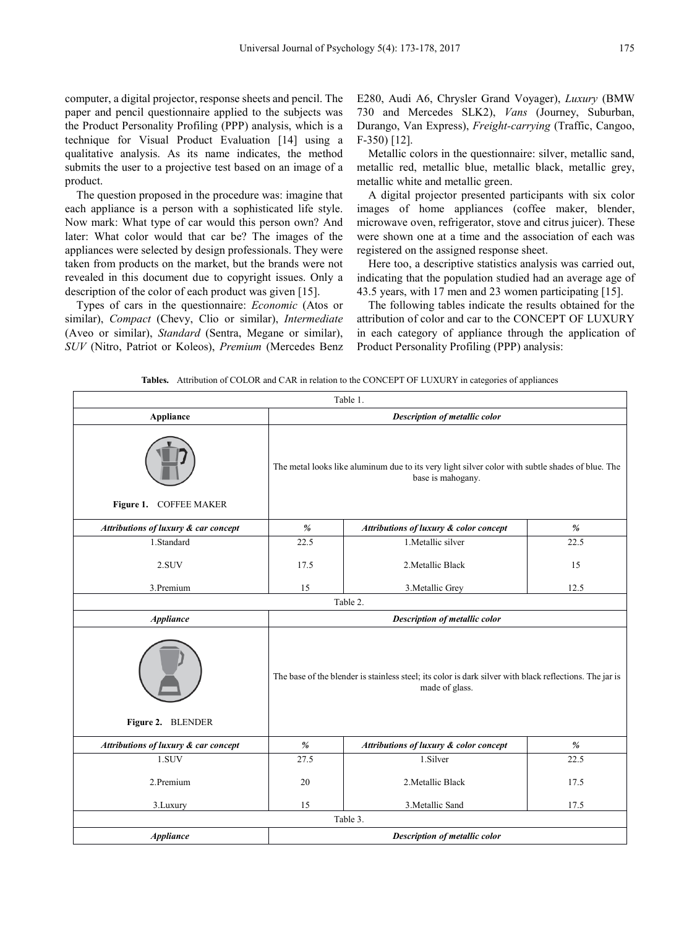computer, a digital projector, response sheets and pencil. The paper and pencil questionnaire applied to the subjects was the Product Personality Profiling (PPP) analysis, which is a technique for Visual Product Evaluation [14] using a qualitative analysis. As its name indicates, the method submits the user to a projective test based on an image of a product.

The question proposed in the procedure was: imagine that each appliance is a person with a sophisticated life style. Now mark: What type of car would this person own? And later: What color would that car be? The images of the appliances were selected by design professionals. They were taken from products on the market, but the brands were not revealed in this document due to copyright issues. Only a description of the color of each product was given [15].

Types of cars in the questionnaire: *Economic* (Atos or similar), *Compact* (Chevy, Clio or similar), *Intermediate* (Aveo or similar), *Standard* (Sentra, Megane or similar), *SUV* (Nitro, Patriot or Koleos), *Premium* (Mercedes Benz E280, Audi A6, Chrysler Grand Voyager), *Luxury* (BMW 730 and Mercedes SLK2), *Vans* (Journey, Suburban, Durango, Van Express), *Freight-carrying* (Traffic, Cangoo, F-350) [12].

Metallic colors in the questionnaire: silver, metallic sand, metallic red, metallic blue, metallic black, metallic grey, metallic white and metallic green.

A digital projector presented participants with six color images of home appliances (coffee maker, blender, microwave oven, refrigerator, stove and citrus juicer). These were shown one at a time and the association of each was registered on the assigned response sheet.

Here too, a descriptive statistics analysis was carried out, indicating that the population studied had an average age of 43.5 years, with 17 men and 23 women participating [15].

The following tables indicate the results obtained for the attribution of color and car to the CONCEPT OF LUXURY in each category of appliance through the application of Product Personality Profiling (PPP) analysis:

**Tables.** Attribution of COLOR and CAR in relation to the CONCEPT OF LUXURY in categories of appliances

|                                      |                                                                                                                           | Table 1.                               |      |  |
|--------------------------------------|---------------------------------------------------------------------------------------------------------------------------|----------------------------------------|------|--|
| <b>Appliance</b>                     | Description of metallic color                                                                                             |                                        |      |  |
| Figure 1. COFFEE MAKER               | The metal looks like aluminum due to its very light silver color with subtle shades of blue. The<br>base is mahogany.     |                                        |      |  |
| Attributions of luxury & car concept | $\%$                                                                                                                      | Attributions of luxury & color concept | $\%$ |  |
| 1.Standard                           | 22.5                                                                                                                      | 1. Metallic silver                     | 22.5 |  |
| 2.SUV                                | 17.5                                                                                                                      | 2. Metallic Black                      | 15   |  |
| 3.Premium                            | 15                                                                                                                        | 3. Metallic Grey                       | 12.5 |  |
|                                      |                                                                                                                           | Table 2.                               |      |  |
| <b>Appliance</b>                     | Description of metallic color                                                                                             |                                        |      |  |
| Figure 2. BLENDER                    | The base of the blender is stainless steel; its color is dark silver with black reflections. The jar is<br>made of glass. |                                        |      |  |
| Attributions of luxury & car concept | $\%$                                                                                                                      | Attributions of luxury & color concept | %    |  |
| 1.SUV                                | 27.5                                                                                                                      | 1.Silver                               | 22.5 |  |
| 2.Premium                            | 20                                                                                                                        | 2. Metallic Black                      | 17.5 |  |
| 3.Luxury                             | 15                                                                                                                        | 3. Metallic Sand                       | 17.5 |  |
|                                      |                                                                                                                           | Table 3.                               |      |  |
| <b>Appliance</b>                     | Description of metallic color                                                                                             |                                        |      |  |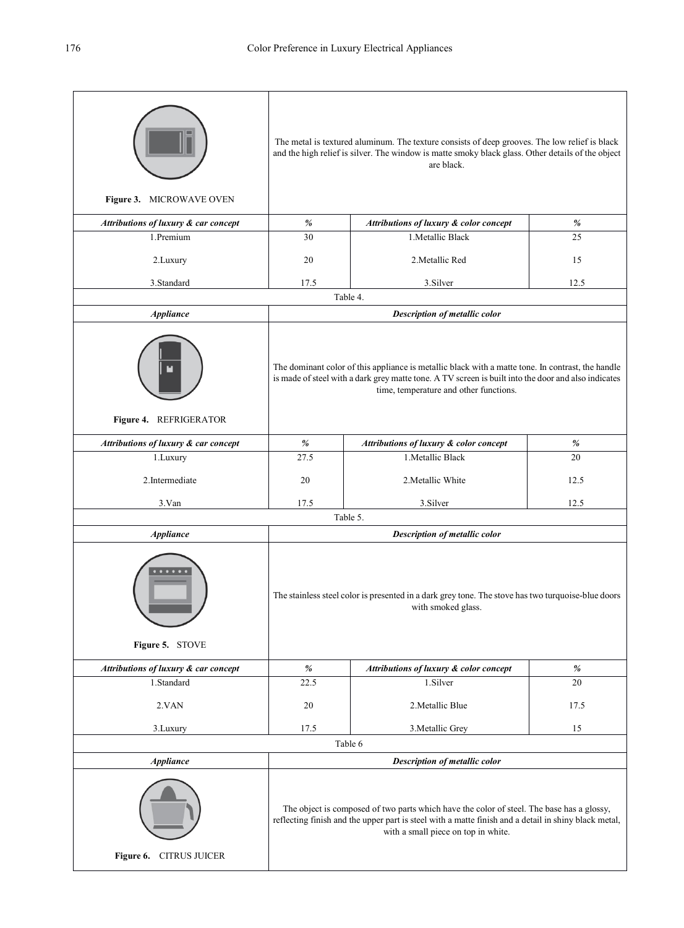|                                      | The metal is textured aluminum. The texture consists of deep grooves. The low relief is black<br>and the high relief is silver. The window is matte smoky black glass. Other details of the object<br>are black.                                   |                                        |      |  |  |
|--------------------------------------|----------------------------------------------------------------------------------------------------------------------------------------------------------------------------------------------------------------------------------------------------|----------------------------------------|------|--|--|
| Figure 3. MICROWAVE OVEN             |                                                                                                                                                                                                                                                    |                                        |      |  |  |
| Attributions of luxury & car concept | $\%$                                                                                                                                                                                                                                               | Attributions of luxury & color concept | $\%$ |  |  |
| 1.Premium                            | 30                                                                                                                                                                                                                                                 | 1. Metallic Black                      | 25   |  |  |
| 2.Luxury                             | 20                                                                                                                                                                                                                                                 | 2. Metallic Red                        | 15   |  |  |
| 3.Standard                           | 17.5                                                                                                                                                                                                                                               | 3.Silver                               | 12.5 |  |  |
|                                      |                                                                                                                                                                                                                                                    | Table 4.                               |      |  |  |
| <b>Appliance</b>                     | Description of metallic color                                                                                                                                                                                                                      |                                        |      |  |  |
| Figure 4. REFRIGERATOR               | The dominant color of this appliance is metallic black with a matte tone. In contrast, the handle<br>is made of steel with a dark grey matte tone. A TV screen is built into the door and also indicates<br>time, temperature and other functions. |                                        |      |  |  |
| Attributions of luxury & car concept | $\%$                                                                                                                                                                                                                                               | Attributions of luxury & color concept | $\%$ |  |  |
| 1.Luxury                             | 27.5                                                                                                                                                                                                                                               | 1. Metallic Black                      | 20   |  |  |
| 2.Intermediate                       | 20                                                                                                                                                                                                                                                 | 2. Metallic White                      | 12.5 |  |  |
| 3.Van                                | 17.5                                                                                                                                                                                                                                               | 3.Silver                               | 12.5 |  |  |
|                                      |                                                                                                                                                                                                                                                    | Table 5.                               |      |  |  |
| <b>Appliance</b>                     |                                                                                                                                                                                                                                                    | Description of metallic color          |      |  |  |
| Figure 5. STOVE                      | The stainless steel color is presented in a dark grey tone. The stove has two turquoise-blue doors<br>with smoked glass.                                                                                                                           |                                        |      |  |  |
| Attributions of luxury & car concept | $\%$                                                                                                                                                                                                                                               | Attributions of luxury & color concept | $\%$ |  |  |
| 1.Standard                           | 22.5                                                                                                                                                                                                                                               | 1.Silver                               | 20   |  |  |
| 2.VAN                                | 20                                                                                                                                                                                                                                                 | 2. Metallic Blue                       | 17.5 |  |  |
| 3. Luxury                            | 17.5                                                                                                                                                                                                                                               | 3. Metallic Grey                       | 15   |  |  |
|                                      |                                                                                                                                                                                                                                                    | Table 6                                |      |  |  |
| <b>Appliance</b>                     |                                                                                                                                                                                                                                                    | Description of metallic color          |      |  |  |
| Figure 6. CITRUS JUICER              | The object is composed of two parts which have the color of steel. The base has a glossy,<br>reflecting finish and the upper part is steel with a matte finish and a detail in shiny black metal,<br>with a small piece on top in white.           |                                        |      |  |  |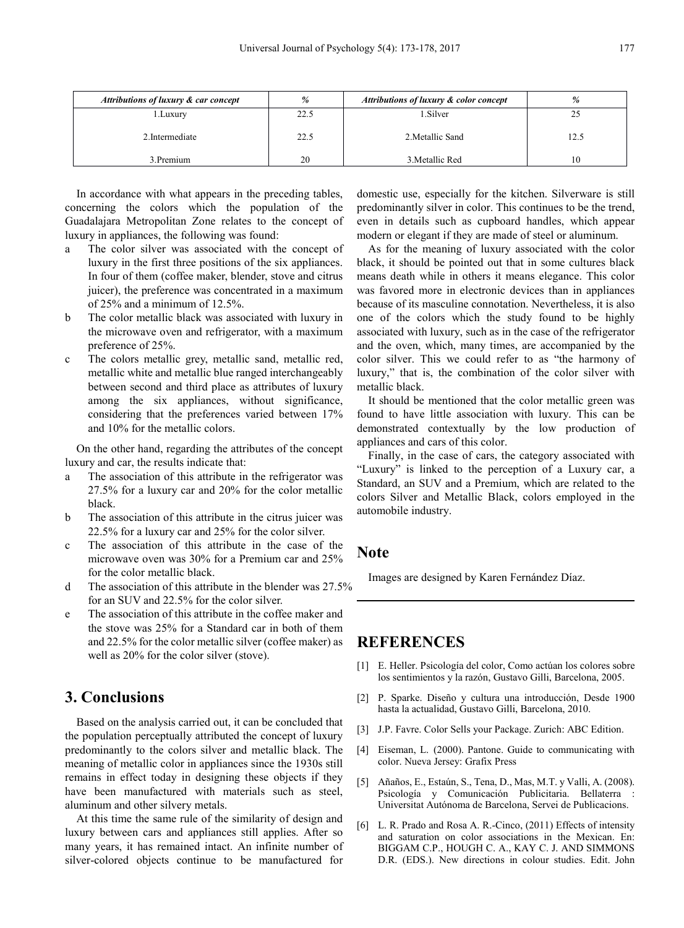| Attributions of luxury & car concept | $\frac{9}{6}$ | Attributions of luxury & color concept | %    |
|--------------------------------------|---------------|----------------------------------------|------|
| l .Luxury                            | 22.5          | 1.Silver                               |      |
| 2. Intermediate                      | 22.5          | 2. Metallic Sand                       | 12.5 |
| 3. Premium                           | 20            | 3. Metallic Red                        | 10   |

In accordance with what appears in the preceding tables, concerning the colors which the population of the Guadalajara Metropolitan Zone relates to the concept of luxury in appliances, the following was found:

- a The color silver was associated with the concept of luxury in the first three positions of the six appliances. In four of them (coffee maker, blender, stove and citrus juicer), the preference was concentrated in a maximum of 25% and a minimum of 12.5%.
- b The color metallic black was associated with luxury in the microwave oven and refrigerator, with a maximum preference of 25%.
- c The colors metallic grey, metallic sand, metallic red, metallic white and metallic blue ranged interchangeably between second and third place as attributes of luxury among the six appliances, without significance, considering that the preferences varied between 17% and 10% for the metallic colors.

On the other hand, regarding the attributes of the concept luxury and car, the results indicate that:

- a The association of this attribute in the refrigerator was 27.5% for a luxury car and 20% for the color metallic black.
- b The association of this attribute in the citrus juicer was 22.5% for a luxury car and 25% for the color silver.
- c The association of this attribute in the case of the microwave oven was 30% for a Premium car and 25% for the color metallic black.
- d The association of this attribute in the blender was 27.5% for an SUV and 22.5% for the color silver.
- e The association of this attribute in the coffee maker and the stove was 25% for a Standard car in both of them and 22.5% for the color metallic silver (coffee maker) as well as 20% for the color silver (stove).

# **3. Conclusions**

Based on the analysis carried out, it can be concluded that the population perceptually attributed the concept of luxury predominantly to the colors silver and metallic black. The meaning of metallic color in appliances since the 1930s still remains in effect today in designing these objects if they have been manufactured with materials such as steel, aluminum and other silvery metals.

At this time the same rule of the similarity of design and luxury between cars and appliances still applies. After so many years, it has remained intact. An infinite number of silver-colored objects continue to be manufactured for domestic use, especially for the kitchen. Silverware is still predominantly silver in color. This continues to be the trend, even in details such as cupboard handles, which appear modern or elegant if they are made of steel or aluminum.

As for the meaning of luxury associated with the color black, it should be pointed out that in some cultures black means death while in others it means elegance. This color was favored more in electronic devices than in appliances because of its masculine connotation. Nevertheless, it is also one of the colors which the study found to be highly associated with luxury, such as in the case of the refrigerator and the oven, which, many times, are accompanied by the color silver. This we could refer to as "the harmony of luxury," that is, the combination of the color silver with metallic black.

It should be mentioned that the color metallic green was found to have little association with luxury. This can be demonstrated contextually by the low production of appliances and cars of this color.

Finally, in the case of cars, the category associated with "Luxury" is linked to the perception of a Luxury car, a Standard, an SUV and a Premium, which are related to the colors Silver and Metallic Black, colors employed in the automobile industry.

## **Note**

Images are designed by Karen Fernández Díaz.

## **REFERENCES**

- [1] E. Heller. Psicología del color, Como actúan los colores sobre los sentimientos y la razón, Gustavo Gilli, Barcelona, 2005.
- [2] P. Sparke. Diseño y cultura una introducción, Desde 1900 hasta la actualidad, Gustavo Gilli, Barcelona, 2010.
- [3] J.P. Favre. Color Sells your Package. Zurich: ABC Edition.
- [4] Eiseman, L. (2000). Pantone. Guide to communicating with color. Nueva Jersey: Grafix Press
- [5] Añaños, E., Estaún, S., Tena, D., Mas, M.T. y Valli, A. (2008). Psicología y Comunicación Publicitaria. Bellaterra : Universitat Autónoma de Barcelona, Servei de Publicacions.
- [6] L. R. Prado and Rosa A. R.-Cinco, (2011) Effects of intensity and saturation on color associations in the Mexican. En: BIGGAM C.P., HOUGH C. A., KAY C. J. AND SIMMONS D.R. (EDS.). New directions in colour studies. Edit. John